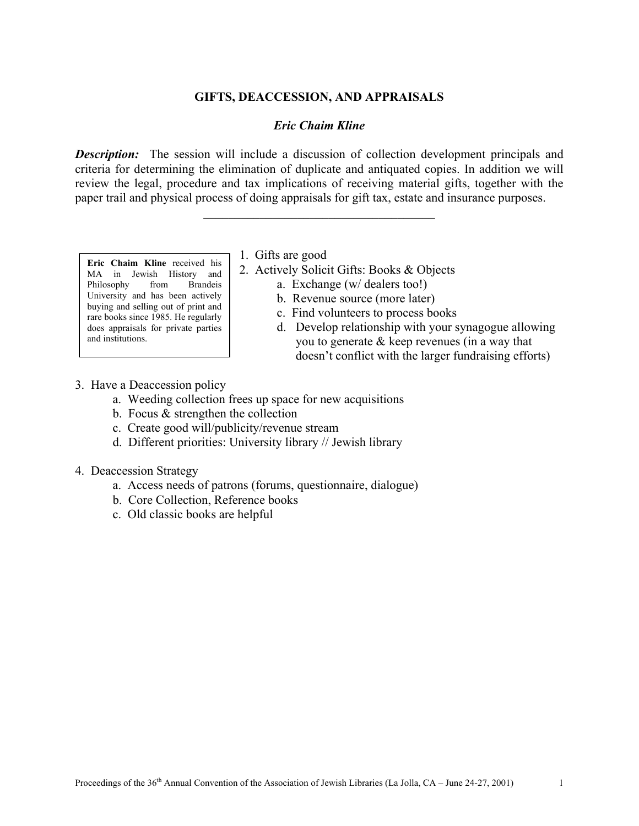## **GIFTS, DEACCESSION, AND APPRAISALS**

## *Eric Chaim Kline*

**Description:** The session will include a discussion of collection development principals and criteria for determining the elimination of duplicate and antiquated copies. In addition we will review the legal, procedure and tax implications of receiving material gifts, together with the paper trail and physical process of doing appraisals for gift tax, estate and insurance purposes.

 $\mathcal{L}_\text{max}$ 

**Eric Chaim Kline** received his MA in Jewish History and Philosophy from Brandeis University and has been actively buying and selling out of print and rare books since 1985. He regularly does appraisals for private parties and institutions.

1. Gifts are good

- 2. Actively Solicit Gifts: Books & Objects
	- a. Exchange (w/ dealers too!)
	- b. Revenue source (more later)
	- c. Find volunteers to process books
	- d. Develop relationship with your synagogue allowing you to generate & keep revenues (in a way that doesn't conflict with the larger fundraising efforts)
- 3. Have a Deaccession policy
	- a. Weeding collection frees up space for new acquisitions
	- b. Focus & strengthen the collection
	- c. Create good will/publicity/revenue stream
	- d. Different priorities: University library // Jewish library
- 4. Deaccession Strategy
	- a. Access needs of patrons (forums, questionnaire, dialogue)
	- b. Core Collection, Reference books
	- c. Old classic books are helpful